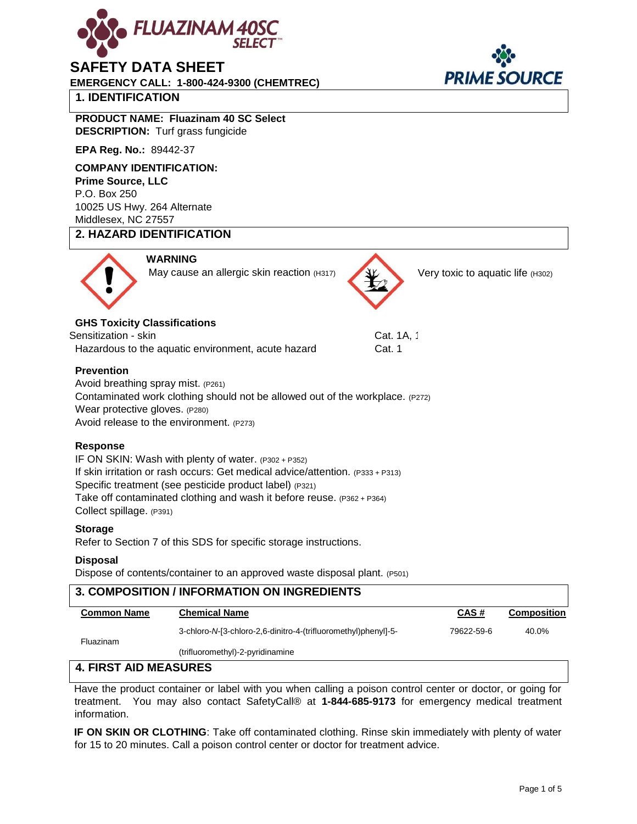

# **SAFETY DATA SHEET**

**EMERGENCY CALL: 1-800-424-9300 (CHEMTREC)** 

# **1. IDENTIFICATION**

# **PRODUCT NAME: Fluazinam 40 SC Select DESCRIPTION:** Turf grass fungicide

**EPA Reg. No.:** 89442-37

#### **COMPANY IDENTIFICATION:**

**Prime Source, LLC**  P.O. Box 250 10025 US Hwy. 264 Alternate Middlesex, NC 27557

# **2. HAZARD IDENTIFICATION**



May cause an allergic skin reaction (H317)

# **GHS Toxicity Classifications**

Sensitization - skin Cat. 1A, 1Cat. 1A, 1Cat. 1A, 1Cat. 1A, 1 Hazardous to the aquatic environment, acute hazard Cat. 1

**WARNING** 

## **Prevention**

Avoid breathing spray mist. (P261) Contaminated work clothing should not be allowed out of the workplace. (P272) Wear protective gloves. (P280) Avoid release to the environment. (P273)

# **Response**

IF ON SKIN: Wash with plenty of water. (P302 + P352) If skin irritation or rash occurs: Get medical advice/attention. (P333 + P313) Specific treatment (see pesticide product label) (P321) Take off contaminated clothing and wash it before reuse. (P362 + P364) Collect spillage. (P391)

#### **Storage**

Refer to Section 7 of this SDS for specific storage instructions.

#### **Disposal**

Dispose of contents/container to an approved waste disposal plant. (P501)

## **3. COMPOSITION / INFORMATION ON INGREDIENTS Common Name Chemical Name CAS # Composition** 3-chloro-*N*-[3-chloro-2,6-dinitro-4-(trifluoromethyl)phenyl]-5- Fluazinam (trifluoromethyl)-2-pyridinamine 79622-59-6 40.0% **4. FIRST AID MEASURES**

Have the product container or label with you when calling a poison control center or doctor, or going for treatment. You may also contact SafetyCall® at **1-844-685-9173** for emergency medical treatment information.

**IF ON SKIN OR CLOTHING**: Take off contaminated clothing. Rinse skin immediately with plenty of water for 15 to 20 minutes. Call a poison control center or doctor for treatment advice.



Very toxic to aquatic life (H302)

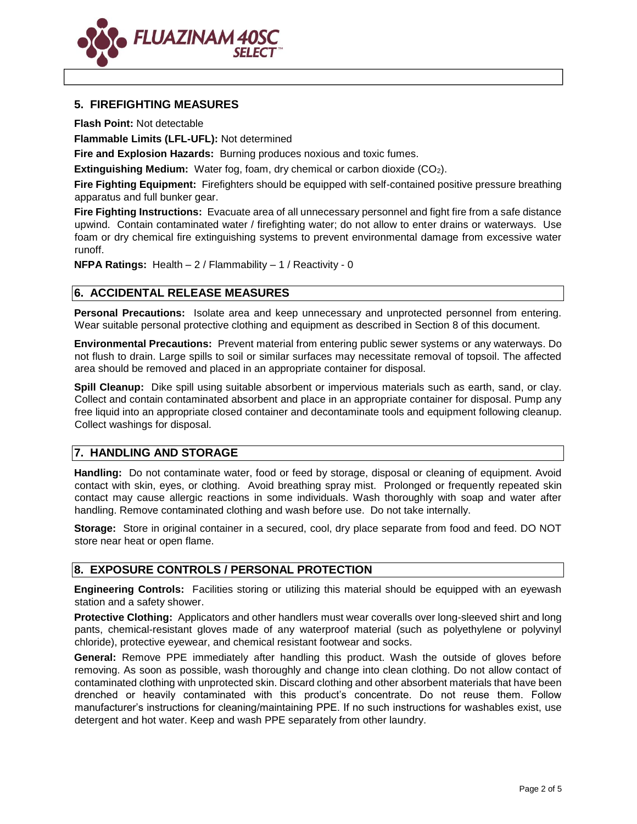

# **5. FIREFIGHTING MEASURES**

**Flash Point:** Not detectable

**Flammable Limits (LFL-UFL):** Not determined

**Fire and Explosion Hazards:** Burning produces noxious and toxic fumes.

**Extinguishing Medium:** Water fog, foam, dry chemical or carbon dioxide (CO2).

**Fire Fighting Equipment:** Firefighters should be equipped with self-contained positive pressure breathing apparatus and full bunker gear.

**Fire Fighting Instructions:** Evacuate area of all unnecessary personnel and fight fire from a safe distance upwind. Contain contaminated water / firefighting water; do not allow to enter drains or waterways. Use foam or dry chemical fire extinguishing systems to prevent environmental damage from excessive water runoff.

**NFPA Ratings:** Health – 2 / Flammability – 1 / Reactivity - 0

# **6. ACCIDENTAL RELEASE MEASURES**

**Personal Precautions:** Isolate area and keep unnecessary and unprotected personnel from entering. Wear suitable personal protective clothing and equipment as described in Section 8 of this document.

**Environmental Precautions:** Prevent material from entering public sewer systems or any waterways. Do not flush to drain. Large spills to soil or similar surfaces may necessitate removal of topsoil. The affected area should be removed and placed in an appropriate container for disposal.

**Spill Cleanup:** Dike spill using suitable absorbent or impervious materials such as earth, sand, or clay. Collect and contain contaminated absorbent and place in an appropriate container for disposal. Pump any free liquid into an appropriate closed container and decontaminate tools and equipment following cleanup. Collect washings for disposal.

# **7. HANDLING AND STORAGE**

**Handling:** Do not contaminate water, food or feed by storage, disposal or cleaning of equipment. Avoid contact with skin, eyes, or clothing. Avoid breathing spray mist. Prolonged or frequently repeated skin contact may cause allergic reactions in some individuals. Wash thoroughly with soap and water after handling. Remove contaminated clothing and wash before use. Do not take internally.

**Storage:** Store in original container in a secured, cool, dry place separate from food and feed. DO NOT store near heat or open flame.

# **8. EXPOSURE CONTROLS / PERSONAL PROTECTION**

**Engineering Controls:** Facilities storing or utilizing this material should be equipped with an eyewash station and a safety shower.

**Protective Clothing:** Applicators and other handlers must wear coveralls over long-sleeved shirt and long pants, chemical-resistant gloves made of any waterproof material (such as polyethylene or polyvinyl chloride), protective eyewear, and chemical resistant footwear and socks.

**General:** Remove PPE immediately after handling this product. Wash the outside of gloves before removing. As soon as possible, wash thoroughly and change into clean clothing. Do not allow contact of contaminated clothing with unprotected skin. Discard clothing and other absorbent materials that have been drenched or heavily contaminated with this product's concentrate. Do not reuse them. Follow manufacturer's instructions for cleaning/maintaining PPE. If no such instructions for washables exist, use detergent and hot water. Keep and wash PPE separately from other laundry.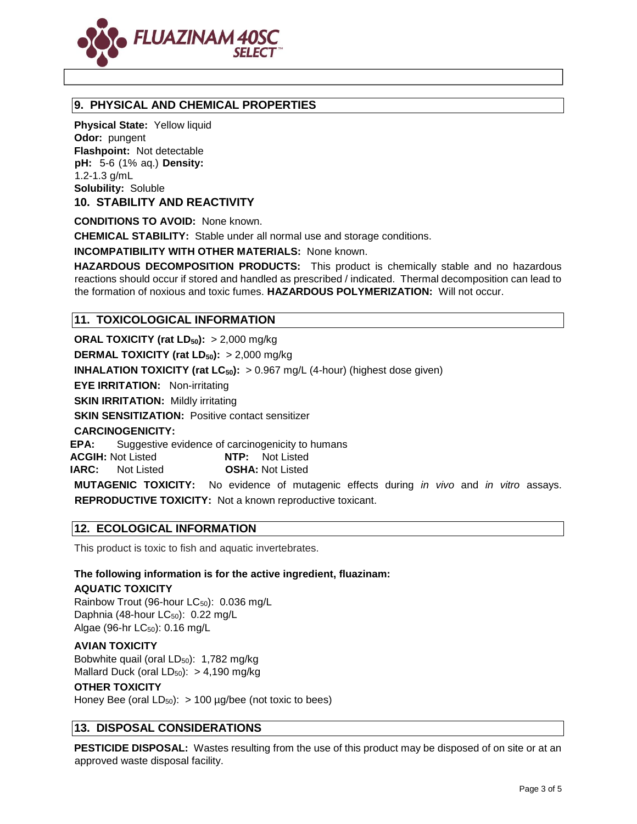

# **9. PHYSICAL AND CHEMICAL PROPERTIES**

**Physical State:** Yellow liquid **Odor:** pungent **Flashpoint:** Not detectable **pH:** 5-6 (1% aq.) **Density:** 1.2-1.3 g/mL **Solubility:** Soluble

**10. STABILITY AND REACTIVITY** 

**CONDITIONS TO AVOID:** None known.

**CHEMICAL STABILITY:** Stable under all normal use and storage conditions.

**INCOMPATIBILITY WITH OTHER MATERIALS:** None known.

**HAZARDOUS DECOMPOSITION PRODUCTS:** This product is chemically stable and no hazardous reactions should occur if stored and handled as prescribed / indicated. Thermal decomposition can lead to the formation of noxious and toxic fumes. **HAZARDOUS POLYMERIZATION:** Will not occur.

# **11. TOXICOLOGICAL INFORMATION**

**ORAL TOXICITY (rat LD50):** > 2,000 mg/kg **DERMAL TOXICITY (rat LD50):** > 2,000 mg/kg **INHALATION TOXICITY (rat LC<sub>50</sub>):** > 0.967 mg/L (4-hour) (highest dose given) **EYE IRRITATION:** Non-irritating **SKIN IRRITATION: Mildly irritating SKIN SENSITIZATION: Positive contact sensitizer CARCINOGENICITY: EPA:** Suggestive evidence of carcinogenicity to humans **ACGIH:** Not Listed **NTP:** Not Listed **IARC:** Not Listed **OSHA:** Not Listed **MUTAGENIC TOXICITY:** No evidence of mutagenic effects during *in vivo* and *in vitro* assays.

**REPRODUCTIVE TOXICITY:** Not a known reproductive toxicant.

# **12. ECOLOGICAL INFORMATION**

This product is toxic to fish and aquatic invertebrates.

# **The following information is for the active ingredient, fluazinam: AQUATIC TOXICITY**

Rainbow Trout (96-hour LC<sub>50</sub>): 0.036 mg/L Daphnia (48-hour  $LC_{50}$ ): 0.22 mg/L Algae (96-hr LC<sub>50</sub>): 0.16 mg/L

#### **AVIAN TOXICITY**

Bobwhite quail (oral  $LD_{50}$ ): 1,782 mg/kg Mallard Duck (oral  $LD_{50}$ ):  $> 4,190$  mg/kg

#### **OTHER TOXICITY**

Honey Bee (oral  $LD_{50}$ ): > 100 µg/bee (not toxic to bees)

# **13. DISPOSAL CONSIDERATIONS**

**PESTICIDE DISPOSAL:** Wastes resulting from the use of this product may be disposed of on site or at an approved waste disposal facility.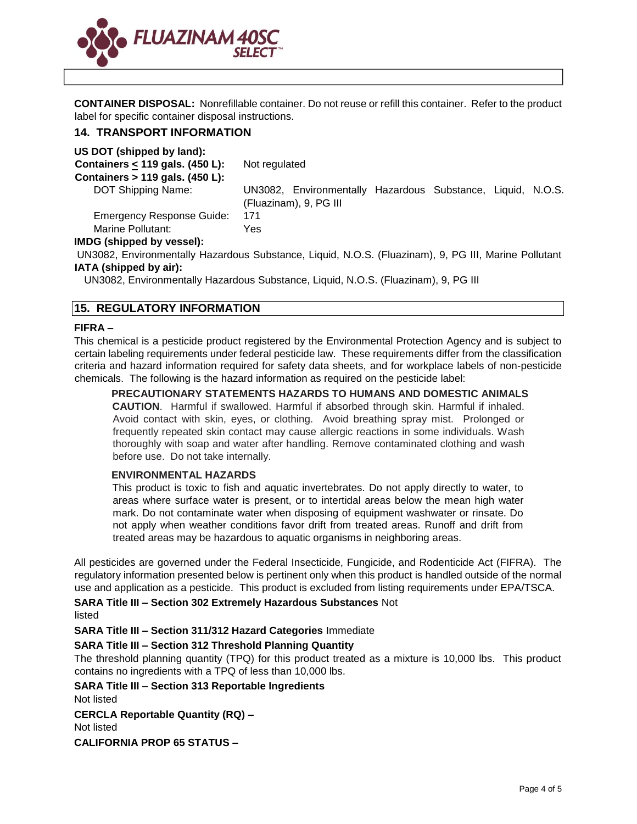

**CONTAINER DISPOSAL:** Nonrefillable container. Do not reuse or refill this container. Refer to the product label for specific container disposal instructions.

#### **14. TRANSPORT INFORMATION**

**US DOT (shipped by land):** 

| Containers < 119 gals. (450 L):<br>Containers $> 119$ gals. (450 L): | Not regulated |                                                                                       |  |  |  |  |
|----------------------------------------------------------------------|---------------|---------------------------------------------------------------------------------------|--|--|--|--|
| DOT Shipping Name:                                                   |               | UN3082, Environmentally Hazardous Substance, Liquid, N.O.S.<br>(Fluazinam), 9, PG III |  |  |  |  |
| <b>Emergency Response Guide:</b>                                     | 171           |                                                                                       |  |  |  |  |
| Marine Pollutant:                                                    | Yes.          |                                                                                       |  |  |  |  |
| IMDG (shipped by vessel):                                            |               |                                                                                       |  |  |  |  |

UN3082, Environmentally Hazardous Substance, Liquid, N.O.S. (Fluazinam), 9, PG III, Marine Pollutant **IATA (shipped by air):** 

UN3082, Environmentally Hazardous Substance, Liquid, N.O.S. (Fluazinam), 9, PG III

#### **15. REGULATORY INFORMATION**

#### **FIFRA –**

This chemical is a pesticide product registered by the Environmental Protection Agency and is subject to certain labeling requirements under federal pesticide law. These requirements differ from the classification criteria and hazard information required for safety data sheets, and for workplace labels of non-pesticide chemicals. The following is the hazard information as required on the pesticide label:

#### **PRECAUTIONARY STATEMENTS HAZARDS TO HUMANS AND DOMESTIC ANIMALS**

**CAUTION**. Harmful if swallowed. Harmful if absorbed through skin. Harmful if inhaled. Avoid contact with skin, eyes, or clothing. Avoid breathing spray mist. Prolonged or frequently repeated skin contact may cause allergic reactions in some individuals. Wash thoroughly with soap and water after handling. Remove contaminated clothing and wash before use. Do not take internally.

#### **ENVIRONMENTAL HAZARDS**

This product is toxic to fish and aquatic invertebrates. Do not apply directly to water, to areas where surface water is present, or to intertidal areas below the mean high water mark. Do not contaminate water when disposing of equipment washwater or rinsate. Do not apply when weather conditions favor drift from treated areas. Runoff and drift from treated areas may be hazardous to aquatic organisms in neighboring areas.

All pesticides are governed under the Federal Insecticide, Fungicide, and Rodenticide Act (FIFRA). The regulatory information presented below is pertinent only when this product is handled outside of the normal use and application as a pesticide. This product is excluded from listing requirements under EPA/TSCA.

**SARA Title III – Section 302 Extremely Hazardous Substances** Not listed

**SARA Title III – Section 311/312 Hazard Categories** Immediate

#### **SARA Title III – Section 312 Threshold Planning Quantity**

The threshold planning quantity (TPQ) for this product treated as a mixture is 10,000 lbs. This product contains no ingredients with a TPQ of less than 10,000 lbs.

**SARA Title III – Section 313 Reportable Ingredients** 

Not listed

**CERCLA Reportable Quantity (RQ) –**

Not listed

**CALIFORNIA PROP 65 STATUS –**